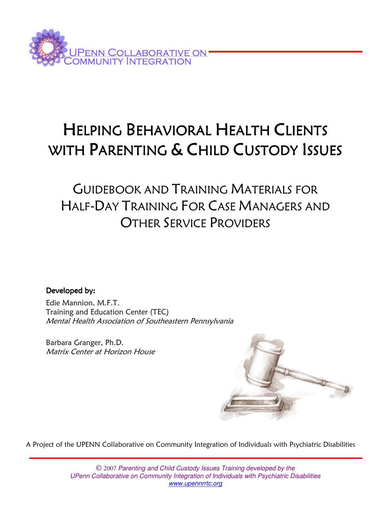

# HELPING BEHAVIORAL HEALTH CLIENTS WITH PARENTING & CHILD CUSTODY ISSUES

## GUIDEBOOK AND TRAINING MATERIALS FOR HALF-DAY TRAINING FOR CASE MANAGERS AND OTHER SERVICE PROVIDERS

Developed by:

Edie Mannion, M.F.T. Training and Education Center (TEC) Mental Health Association of Southeastern Pennsylvania

Barbara Granger, Ph.D. Matrix Center at Horizon House



A Project of the UPENN Collaborative on Community Integration of Individuals with Psychiatric Disabilities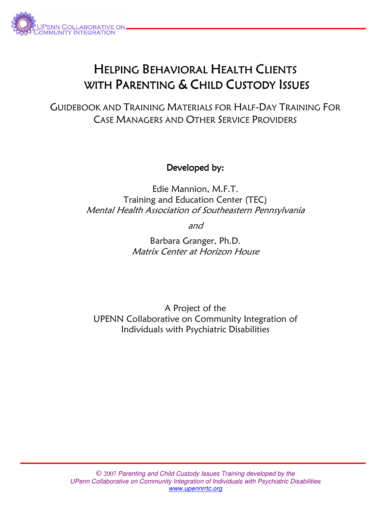

## HELPING BEHAVIORAL HEALTH CLIENTS WITH PARENTING & CHILD CUSTODY ISSUES

GUIDEBOOK AND TRAINING MATERIALS FOR HALF-DAY TRAINING FOR CASE MANAGERS AND OTHER SERVICE PROVIDERS

Developed by:

Edie Mannion, M.F.T. Training and Education Center (TEC) Mental Health Association of Southeastern Pennsylvania

and

Barbara Granger, Ph.D. Matrix Center at Horizon House

A Project of the UPENN Collaborative on Community Integration of Individuals with Psychiatric Disabilities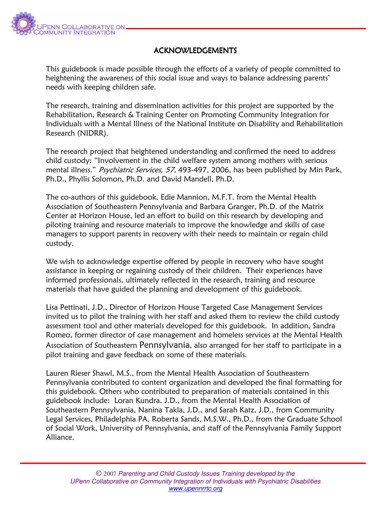

#### **ACKNOWLEDGEMENTS**

This guidebook is made possible through the efforts of a variety of people committed to heightening the awareness of this social issue and ways to balance addressing parents' needs with keeping children safe.

The research, training and dissemination activities for this project are supported by the Rehabilitation, Research & Training Center on Promoting Community Integration for Individuals with a Mental Illness of the National Institute on Disability and Rehabilitation Research (NIDRR).

The research project that heightened understanding and confirmed the need to address child custody: "Involvement in the child welfare system among mothers with serious mental illness." Psychiatric Services, 57, 493-497, 2006, has been published by Min Park, Ph.D., Phyllis Solomon, Ph.D. and David Mandell, Ph.D.

The co-authors of this guidebook, Edie Mannion, M.F.T. from the Mental Health Association of Southeastern Pennsylvania and Barbara Granger, Ph.D. of the Matrix Center at Horizon House, led an effort to build on this research by developing and piloting training and resource materials to improve the knowledge and skills of case managers to support parents in recovery with their needs to maintain or regain child custody.

We wish to acknowledge expertise offered by people in recovery who have sought assistance in keeping or regaining custody of their children. Their experiences have informed professionals, ultimately reflected in the research, training and resource materials that have guided the planning and development of this guidebook.

Lisa Pettinati, J.D., Director of Horizon House Targeted Case Management Services invited us to pilot the training with her staff and asked them to review the child custody assessment tool and other materials developed for this guidebook. In addition, Sandra Romeo, former director of case management and homeless services at the Mental Health Association of Southeastern Pennsylvania, also arranged for her staff to participate in a pilot training and gave feedback on some of these materials.

Lauren Rieser Shawl, M.S., from the Mental Health Association of Southeastern Pennsylvania contributed to content organization and developed the final formatting for this guidebook. Others who contributed to preparation of materials contained in this guidebook include: Loran Kundra, J.D., from the Mental Health Association of Southeastern Pennsylvania, Nanina Takla, J.D., and Sarah Katz, J.D., from Community Legal Services, Philadelphia PA, Roberta Sands, M.S.W., Ph.D., from the Graduate School of Social Work, University of Pennsylvania, and staff of the Pennsylvania Family Support Alliance.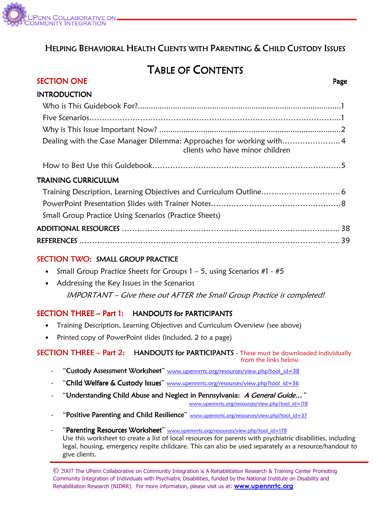

### HELPING BEHAVIORAL HEALTH CLIENTS WITH PARENTING & CHILD CUSTODY ISSUES

### TABLE OF CONTENTS

| SECTION ONE                                                                                            | Page |
|--------------------------------------------------------------------------------------------------------|------|
| <b>INTRODUCTION</b>                                                                                    |      |
|                                                                                                        |      |
|                                                                                                        |      |
|                                                                                                        |      |
| Dealing with the Case Manager Dilemma: Approaches for working with4<br>clients who have minor children |      |
|                                                                                                        |      |
| <b>TRAINING CURRICULUM</b>                                                                             |      |
| Training Description, Learning Objectives and Curriculum Outline 6                                     |      |
|                                                                                                        |      |
| <b>Small Group Practice Using Scenarios (Practice Sheets)</b>                                          |      |
|                                                                                                        |      |
|                                                                                                        |      |
| $CCTION1 TNUO$ $CUMC$ $COMD$ $DOMC$                                                                    |      |

#### SECTION TWO: SMALL GROUP PRACTICE

- Small Group Practice Sheets for Groups  $1 5$ , using Scenarios #1 #5
- Addressing the Key Issues in the Scenarios IMPORTANT – Give these out AFTER the Small Group Practice is completed!

#### $SECTION$  THREE – Part 1: HANDOUTS for PARTICIPANTS

- Training Description, Learning Objectives and Curriculum Overview (see above)
- Printed copy of PowerPoint slides (included, 2 to a page)

#### SECTION THREE - Part 2: HANDOUTS for PARTICIPANTS - These must be downloaded individually from the links below.

- "Custody Assessment Worksheet" www.upennrrtc.org/resources/view.php?tool\_id=38
- "Child Welfare & Custody Issues" www.upennrrtc.org/resources/view.php?tool\_id=36
- "Understanding Child Abuse and Neglect in Pennsylvania: A General Guide..."

www.upennrrtc.org/resources/view.php?tool\_id=118

- "Positive Parenting and Child Resilience" www.upennrrtc.org/resources/view.php?tool\_id=37
- "Parenting Resources Worksheet" www.upennrrtc.org/resources/view.php?tool\_id=178 Use this worksheet to create a list of local resources for parents with psychiatric disabilities, including legal, housing, emergency respite childcare. This can also be used separately as a resource/handout to give clients.

© 2007 The UPenn Collaborative on Community Integration is A Rehabilitation Research & Training Center Promoting Community Integration of Individuals with Psychiatric Disabilities, funded by the National Institute on Disability and Rehabilitation Research (NIDRR). For more information, please visit us at: **www.upennrrtc.org**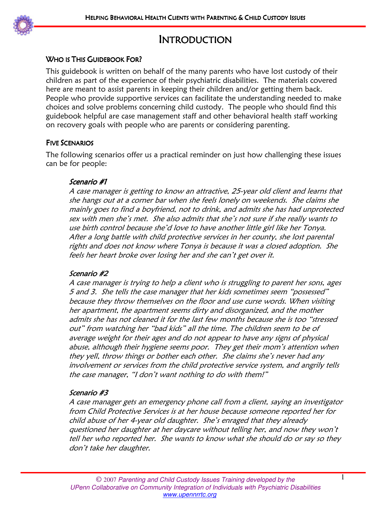

### INTRODUCTION

#### WHO IS THIS GUIDEBOOK FOR?

This guidebook is written on behalf of the many parents who have lost custody of their children as part of the experience of their psychiatric disabilities. The materials covered here are meant to assist parents in keeping their children and/or getting them back. People who provide supportive services can facilitate the understanding needed to make choices and solve problems concerning child custody. The people who should find this guidebook helpful are case management staff and other behavioral health staff working on recovery goals with people who are parents or considering parenting.

#### FIVE SCENARIOS

The following scenarios offer us a practical reminder on just how challenging these issues can be for people:

#### Scenario #1

A case manager is getting to know an attractive, 25-year old client and learns that she hangs out at a corner bar when she feels lonely on weekends. She claims she mainly goes to find a boyfriend, not to drink, and admits she has had unprotected sex with men she's met. She also admits that she's not sure if she really wants to use birth control because she'd love to have another little girl like her Tonya. After a long battle with child protective services in her county, she lost parental rights and does not know where Tonya is because it was a closed adoption. She feels her heart broke over losing her and she can't get over it.

#### Scenario #2

A case manager is trying to help a client who is struggling to parent her sons, ages 5 and 3. She tells the case manager that her kids sometimes seem "possessed" because they throw themselves on the floor and use curse words. When visiting her apartment, the apartment seems dirty and disorganized, and the mother admits she has not cleaned it for the last few months because she is too "stressed out" from watching her "bad kids" all the time. The children seem to be of average weight for their ages and do not appear to have any signs of physical abuse, although their hygiene seems poor. They get their mom's attention when they yell, throw things or bother each other. She claims she's never had any involvement or services from the child protective service system, and angrily tells the case manager, "I don't want nothing to do with them!"

#### Scenario #3

A case manager gets an emergency phone call from a client, saying an investigator from Child Protective Services is at her house because someone reported her for child abuse of her 4-year old daughter. She's enraged that they already questioned her daughter at her daycare without telling her, and now they won't tell her who reported her. She wants to know what she should do or say so they don't take her daughter.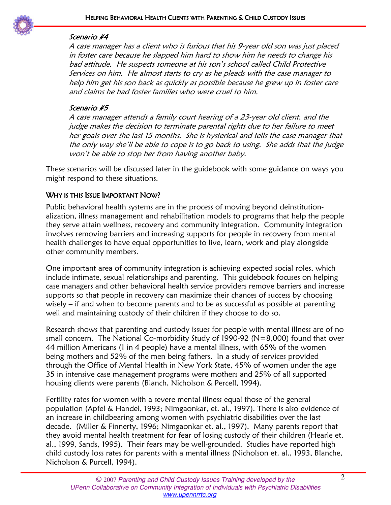

#### Scenario #4

A case manager has a client who is furious that his 9-year old son was just placed in foster care because he slapped him hard to show him he needs to change his bad attitude. He suspects someone at his son's school called Child Protective Services on him. He almost starts to cry as he pleads with the case manager to help him get his son back as quickly as possible because he grew up in foster care and claims he had foster families who were cruel to him.

#### Scenario #5

A case manager attends a family court hearing of a 23-year old client, and the judge makes the decision to terminate parental rights due to her failure to meet her goals over the last 15 months. She is hysterical and tells the case manager that the only way she'll be able to cope is to go back to using. She adds that the judge won't be able to stop her from having another baby.

These scenarios will be discussed later in the guidebook with some guidance on ways you might respond to these situations.

#### WHY IS THIS ISSUE IMPORTANT NOW?

Public behavioral health systems are in the process of moving beyond deinstitutionalization, illness management and rehabilitation models to programs that help the people they serve attain wellness, recovery and community integration. Community integration involves removing barriers and increasing supports for people in recovery from mental health challenges to have equal opportunities to live, learn, work and play alongside other community members.

One important area of community integration is achieving expected social roles, which include intimate, sexual relationships and parenting. This guidebook focuses on helping case managers and other behavioral health service providers remove barriers and increase supports so that people in recovery can maximize their chances of success by choosing wisely – if and when to become parents and to be as successful as possible at parenting well and maintaining custody of their children if they choose to do so.

Research shows that parenting and custody issues for people with mental illness are of no small concern. The National Co-morbidity Study of 1990-92 (N=8,000) found that over 44 million Americans (1 in 4 people) have a mental illness, with 65% of the women being mothers and 52% of the men being fathers. In a study of services provided through the Office of Mental Health in New York State, 45% of women under the age 35 in intensive case management programs were mothers and 25% of all supported housing clients were parents (Blanch, Nicholson & Percell, 1994).

Fertility rates for women with a severe mental illness equal those of the general population (Apfel & Handel, 1993; Nimgaonkar, et. al., 1997). There is also evidence of an increase in childbearing among women with psychiatric disabilities over the last decade. (Miller & Finnerty, 1996; Nimgaonkar et. al., 1997). Many parents report that they avoid mental health treatment for fear of losing custody of their children (Hearle et. al., 1999, Sands, 1995). Their fears may be well-grounded. Studies have reported high child custody loss rates for parents with a mental illness (Nicholson et. al., 1993, Blanche, Nicholson & Purcell, 1994).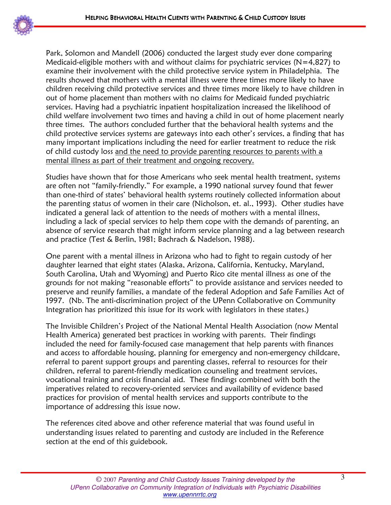

l,

Park, Solomon and Mandell (2006) conducted the largest study ever done comparing Medicaid-eligible mothers with and without claims for psychiatric services ( $N=4,827$ ) to examine their involvement with the child protective service system in Philadelphia. The results showed that mothers with a mental illness were three times more likely to have children receiving child protective services and three times more likely to have children in out of home placement than mothers with no claims for Medicaid funded psychiatric services. Having had a psychiatric inpatient hospitalization increased the likelihood of child welfare involvement two times and having a child in out of home placement nearly three times. The authors concluded further that the behavioral health systems and the child protective services systems are gateways into each other's services, a finding that has many important implications including the need for earlier treatment to reduce the risk of child custody loss and the need to provide parenting resources to parents with a mental illness as part of their treatment and ongoing recovery.

Studies have shown that for those Americans who seek mental health treatment, systems are often not "family-friendly." For example, a 1990 national survey found that fewer than one-third of states' behavioral health systems routinely collected information about the parenting status of women in their care (Nicholson, et. al., 1993). Other studies have indicated a general lack of attention to the needs of mothers with a mental illness, including a lack of special services to help them cope with the demands of parenting, an absence of service research that might inform service planning and a lag between research and practice (Test & Berlin, 1981; Bachrach & Nadelson, 1988).

One parent with a mental illness in Arizona who had to fight to regain custody of her daughter learned that eight states (Alaska, Arizona, California, Kentucky, Maryland, South Carolina, Utah and Wyoming) and Puerto Rico cite mental illness as one of the grounds for not making "reasonable efforts" to provide assistance and services needed to preserve and reunify families, a mandate of the federal Adoption and Safe Families Act of 1997. (Nb. The anti-discrimination project of the UPenn Collaborative on Community Integration has prioritized this issue for its work with legislators in these states.)

The Invisible Children's Project of the National Mental Health Association (now Mental Health America) generated best practices in working with parents. Their findings included the need for family-focused case management that help parents with finances and access to affordable housing, planning for emergency and non-emergency childcare, referral to parent support groups and parenting classes, referral to resources for their children, referral to parent-friendly medication counseling and treatment services, vocational training and crisis financial aid. These findings combined with both the imperatives related to recovery-oriented services and availability of evidence based practices for provision of mental health services and supports contribute to the importance of addressing this issue now.

The references cited above and other reference material that was found useful in understanding issues related to parenting and custody are included in the Reference section at the end of this guidebook.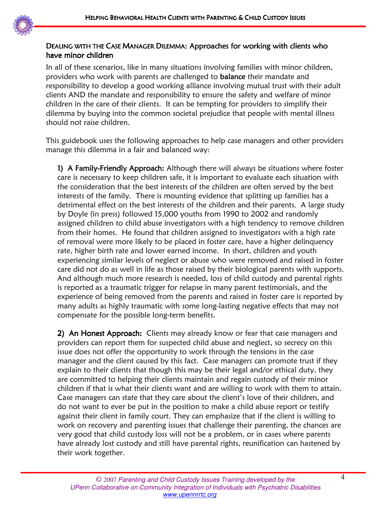

#### DEALING WITH THE CASE MANAGER DILEMMA: Approaches for working with clients who have minor children

In all of these scenarios, like in many situations involving families with minor children, providers who work with parents are challenged to **balance** their mandate and responsibility to develop a good working alliance involving mutual trust with their adult clients AND the mandate and responsibility to ensure the safety and welfare of minor children in the care of their clients. It can be tempting for providers to simplify their dilemma by buying into the common societal prejudice that people with mental illness should not raise children.

This guidebook uses the following approaches to help case managers and other providers manage this dilemma in a fair and balanced way:

1) A Family-Friendly Approach: Although there will always be situations where foster care is necessary to keep children safe, it is important to evaluate each situation with the consideration that the best interests of the children are often served by the best interests of the family. There is mounting evidence that splitting up families has a detrimental effect on the best interests of the children and their parents. A large study by Doyle (in press) followed 15,000 youths from 1990 to 2002 and randomly assigned children to child abuse investigators with a high tendency to remove children from their homes. He found that children assigned to investigators with a high rate of removal were more likely to be placed in foster care, have a higher delinquency rate, higher birth rate and lower earned income. In short, children and youth experiencing similar levels of neglect or abuse who were removed and raised in foster care did not do as well in life as those raised by their biological parents with supports. And although much more research is needed, loss of child custody and parental rights is reported as a traumatic trigger for relapse in many parent testimonials, and the experience of being removed from the parents and raised in foster care is reported by many adults as highly traumatic with some long-lasting negative effects that may not compensate for the possible long-term benefits.

2) An Honest Approach: Clients may already know or fear that case managers and providers can report them for suspected child abuse and neglect, so secrecy on this issue does not offer the opportunity to work through the tensions in the case manager and the client caused by this fact. Case managers can promote trust if they explain to their clients that though this may be their legal and/or ethical duty, they are committed to helping their clients maintain and regain custody of their minor children if that is what their clients want and are willing to work with them to attain. Case managers can state that they care about the client's love of their children, and do not want to ever be put in the position to make a child abuse report or testify against their client in family court. They can emphasize that if the client is willing to work on recovery and parenting issues that challenge their parenting, the chances are very good that child custody loss will not be a problem, or in cases where parents have already lost custody and still have parental rights, reunification can hastened by their work together.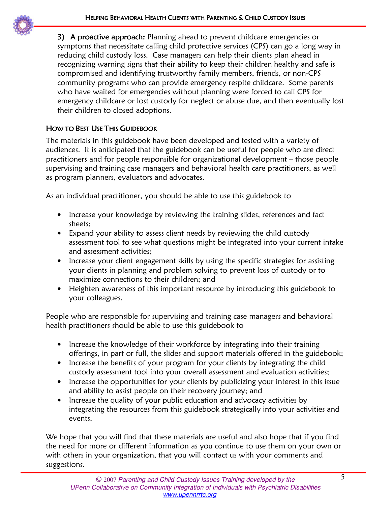

3) A proactive approach: Planning ahead to prevent childcare emergencies or symptoms that necessitate calling child protective services (CPS) can go a long way in reducing child custody loss. Case managers can help their clients plan ahead in recognizing warning signs that their ability to keep their children healthy and safe is compromised and identifying trustworthy family members, friends, or non-CPS community programs who can provide emergency respite childcare. Some parents who have waited for emergencies without planning were forced to call CPS for emergency childcare or lost custody for neglect or abuse due, and then eventually lost their children to closed adoptions.

#### HOW TO BEST USE THIS GUIDEBOOK

The materials in this guidebook have been developed and tested with a variety of audiences. It is anticipated that the guidebook can be useful for people who are direct practitioners and for people responsible for organizational development – those people supervising and training case managers and behavioral health care practitioners, as well as program planners, evaluators and advocates.

As an individual practitioner, you should be able to use this guidebook to

- Increase your knowledge by reviewing the training slides, references and fact sheets;
- Expand your ability to assess client needs by reviewing the child custody assessment tool to see what questions might be integrated into your current intake and assessment activities;
- Increase your client engagement skills by using the specific strategies for assisting your clients in planning and problem solving to prevent loss of custody or to maximize connections to their children; and
- Heighten awareness of this important resource by introducing this guidebook to your colleagues.

People who are responsible for supervising and training case managers and behavioral health practitioners should be able to use this guidebook to

- Increase the knowledge of their workforce by integrating into their training offerings, in part or full, the slides and support materials offered in the guidebook;
- Increase the benefits of your program for your clients by integrating the child custody assessment tool into your overall assessment and evaluation activities;
- Increase the opportunities for your clients by publicizing your interest in this issue and ability to assist people on their recovery journey; and
- Increase the quality of your public education and advocacy activities by integrating the resources from this guidebook strategically into your activities and events.

We hope that you will find that these materials are useful and also hope that if you find the need for more or different information as you continue to use them on your own or with others in your organization, that you will contact us with your comments and suggestions.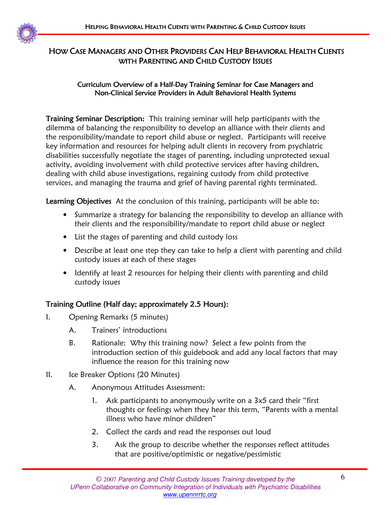

### HOW CASE MANAGERS AND OTHER PROVIDERS CAN HELP BEHAVIORAL HEALTH CLIENTS WITH PARENTING AND CHILD CUSTODY ISSUES

#### Curriculum Overview of a Half-Day Training Seminar for Case Managers and Non-Clinical Service Providers in Adult Behavioral Health Systems

Training Seminar Description: This training seminar will help participants with the dilemma of balancing the responsibility to develop an alliance with their clients and the responsibility/mandate to report child abuse or neglect. Participants will receive key information and resources for helping adult clients in recovery from psychiatric disabilities successfully negotiate the stages of parenting, including unprotected sexual activity, avoiding involvement with child protective services after having children, dealing with child abuse investigations, regaining custody from child protective services, and managing the trauma and grief of having parental rights terminated.

Learning Objectives At the conclusion of this training, participants will be able to:

- Summarize a strategy for balancing the responsibility to develop an alliance with their clients and the responsibility/mandate to report child abuse or neglect
- List the stages of parenting and child custody loss
- Describe at least one step they can take to help a client with parenting and child custody issues at each of these stages
- Identify at least 2 resources for helping their clients with parenting and child custody issues

### Training Outline (Half day; approximately 2.5 Hours):

- I. Opening Remarks (5 minutes)
	- A. Trainers' introductions
	- B. Rationale: Why this training now? Select a few points from the introduction section of this guidebook and add any local factors that may influence the reason for this training now
- II. Ice Breaker Options (20 Minutes)
	- A. Anonymous Attitudes Assessment:
		- 1. Ask participants to anonymously write on a 3x5 card their "first thoughts or feelings when they hear this term, "Parents with a mental illness who have minor children"
		- 2. Collect the cards and read the responses out loud
		- 3. Ask the group to describe whether the responses reflect attitudes that are positive/optimistic or negative/pessimistic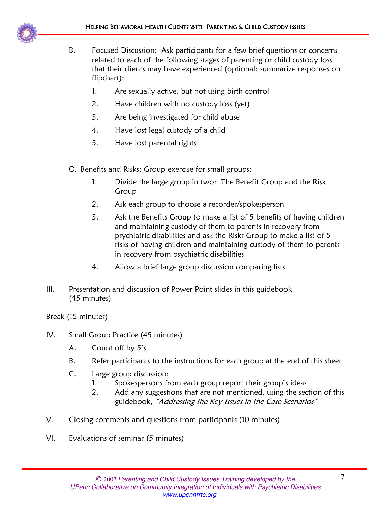- B. Focused Discussion: Ask participants for a few brief questions or concerns related to each of the following stages of parenting or child custody loss that their clients may have experienced (optional: summarize responses on flipchart):
	- 1. Are sexually active, but not using birth control
	- 2. Have children with no custody loss (yet)
	- 3. Are being investigated for child abuse
	- 4. Have lost legal custody of a child
	- 5. Have lost parental rights
- C. Benefits and Risks: Group exercise for small groups:
	- 1. Divide the large group in two: The Benefit Group and the Risk Group
	- 2. Ask each group to choose a recorder/spokesperson
	- 3. Ask the Benefits Group to make a list of 5 benefits of having children and maintaining custody of them to parents in recovery from psychiatric disabilities and ask the Risks Group to make a list of 5 risks of having children and maintaining custody of them to parents in recovery from psychiatric disabilities
	- 4. Allow a brief large group discussion comparing lists
- III. Presentation and discussion of Power Point slides in this guidebook (45 minutes)

Break (15 minutes)

- IV. Small Group Practice (45 minutes)
	- A. Count off by 5's
	- B. Refer participants to the instructions for each group at the end of this sheet
	- C. Large group discussion:
		- 1. Spokespersons from each group report their group's ideas
		- 2. Add any suggestions that are not mentioned, using the section of this guidebook, "Addressing the Key Issues in the Case Scenarios"
- V. Closing comments and questions from participants (10 minutes)
- VI. Evaluations of seminar (5 minutes)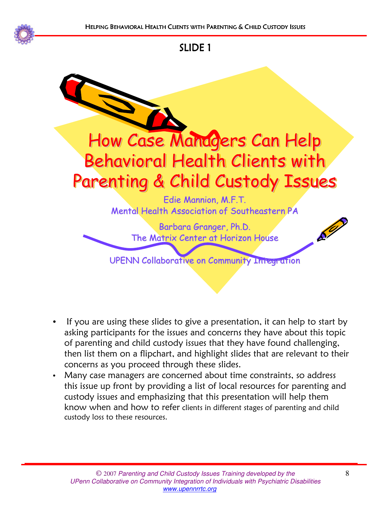



- If you are using these slides to give a presentation, it can help to start by asking participants for the issues and concerns they have about this topic of parenting and child custody issues that they have found challenging, then list them on a flipchart, and highlight slides that are relevant to their concerns as you proceed through these slides.
- Many case managers are concerned about time constraints, so address this issue up front by providing a list of local resources for parenting and custody issues and emphasizing that this presentation will help them know when and how to refer clients in different stages of parenting and child custody loss to these resources.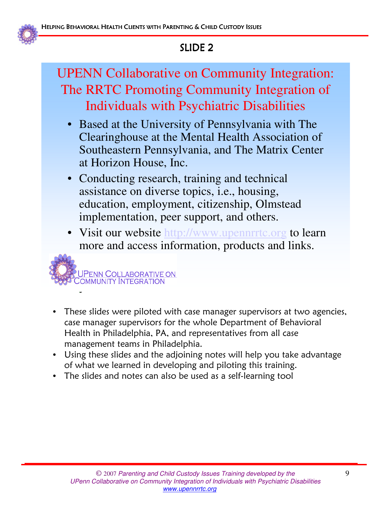

## UPENN Collaborative on Community Integration: The RRTC Promoting Community Integration of Individuals with Psychiatric Disabilities

- Based at the University of Pennsylvania with The Clearinghouse at the Mental Health Association of Southeastern Pennsylvania, and The Matrix Center at Horizon House, Inc.
- Conducting research, training and technical assistance on diverse topics, i.e., housing, education, employment, citizenship, Olmstead implementation, peer support, and others.
- Visit our website http://www.upennrrtc.org to learn more and access information, products and links.

<mark>UPENN COLLABORATIVE ON C</mark>OMMUNITY INTEGRATION

- These slides were piloted with case manager supervisors at two agencies, case manager supervisors for the whole Department of Behavioral Health in Philadelphia, PA, and representatives from all case management teams in Philadelphia.
- Using these slides and the adjoining notes will help you take advantage of what we learned in developing and piloting this training.
- The slides and notes can also be used as a self-learning tool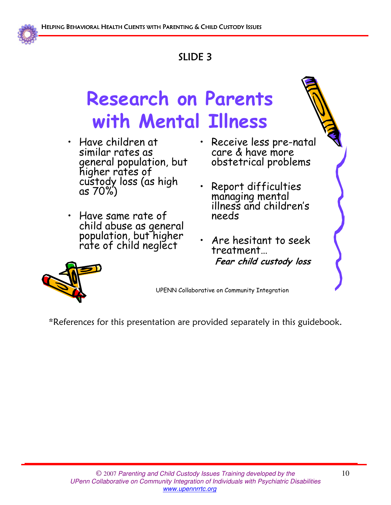

# Research on Parents with Mental Illness

- Have children at similar rates as general population, but higher rates of custody loss (as high as 70%)
- Have same rate of child abuse as general population, but higher rate of child neglect
- Receive less pre-natal care & have more obstetrical problems
- Report difficulties managing mental illness and children's needs
- Are hesitant to seek treatment… Fear child custody loss



UPENN Collaborative on Community Integration

\*References for this presentation are provided separately in this guidebook.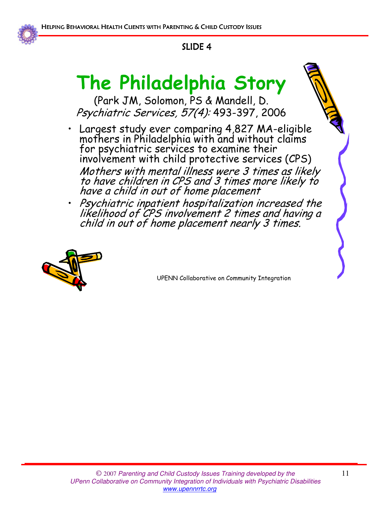

# The Philadelphia Story

(Park JM, Solomon, PS & Mandell, D. Psychiatric Services, 57(4): 493-397, 2006

- Largest study ever comparing 4,827 MA-eligible mothers in Philadelphia with and without claims for psychiatric services to examine their involvement with child protective services (CPS) Mothers with mental illness were 3 times as likely to have children in CPS and 3 times more likely to have a child in out of home placement
- Psychiatric inpatient hospitalization increased the likelihood of CPS involvement 2 times and having a child in out of home placement nearly 3 times.

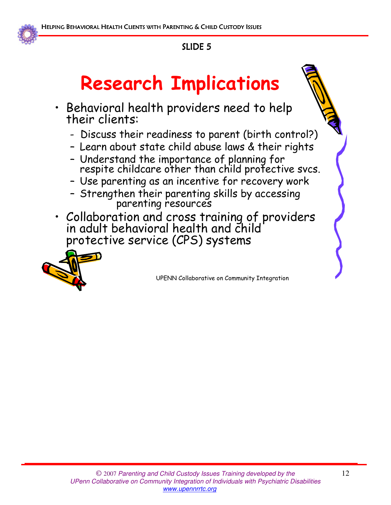

# Research Implications

- Behavioral health providers need to help their clients:
	- Discuss their readiness to parent (birth control?)
	- Learn about state child abuse laws & their rights
	- Understand the importance of planning for respite childcare other than child protective svcs.
	- Use parenting as an incentive for recovery work
	- Strengthen their parenting skills by accessing parenting resources
- Collaboration and cross training of providers in adult behavioral health and child protective service (CPS) systems

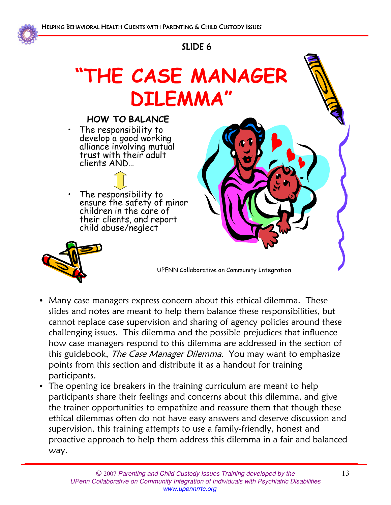

# "THE CASE MANAGER DILEMMA"



- Many case managers express concern about this ethical dilemma. These slides and notes are meant to help them balance these responsibilities, but cannot replace case supervision and sharing of agency policies around these challenging issues. This dilemma and the possible prejudices that influence how case managers respond to this dilemma are addressed in the section of this guidebook, The Case Manager Dilemma. You may want to emphasize points from this section and distribute it as a handout for training participants.
- The opening ice breakers in the training curriculum are meant to help participants share their feelings and concerns about this dilemma, and give the trainer opportunities to empathize and reassure them that though these ethical dilemmas often do not have easy answers and deserve discussion and supervision, this training attempts to use a family-friendly, honest and proactive approach to help them address this dilemma in a fair and balanced way.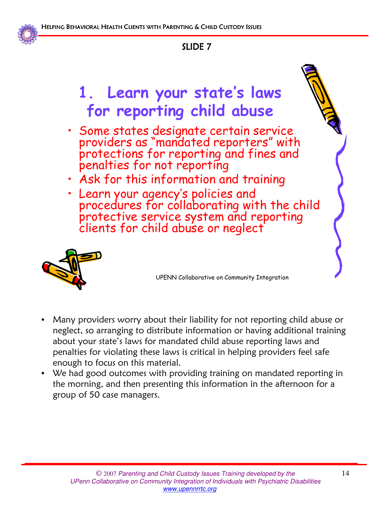

# 1. Learn your state's laws for reporting child abuse

- Some states designate certain service providers as "mandated reporters" with protections for reporting and fines and penalties for not reporting
- Ask for this information and training
- Learn your agency's policies and procedures for collaborating with the child protective service system and reporting clients for child abuse or neglect



- Many providers worry about their liability for not reporting child abuse or neglect, so arranging to distribute information or having additional training about your state's laws for mandated child abuse reporting laws and penalties for violating these laws is critical in helping providers feel safe enough to focus on this material.
- We had good outcomes with providing training on mandated reporting in the morning, and then presenting this information in the afternoon for a group of 50 case managers.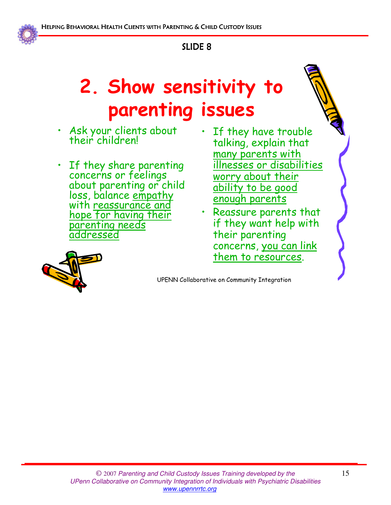

# 2. Show sensitivity to parenting issues

- Ask your clients about their children!
- If they share parenting concerns or feelings about parenting or child loss, balance empathy with reassurance and hope for having their parenting needs addressed
- If they have trouble talking, explain that many parents with illnesses or disabilities worry about their ability to be good enough parents
- Reassure parents that if they want help with their parenting concerns, you can link them to resources.

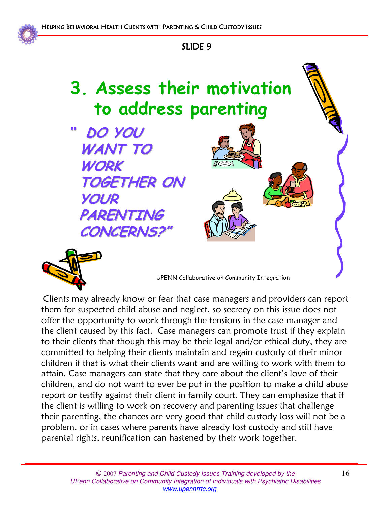

# 3. Assess their motivation to address parenting

00 DO YOU WANT TO WORK TOGETHER ON YOUR PARENTING CONCERNS!



UPENN Collaborative on Community Integration

Clients may already know or fear that case managers and providers can report them for suspected child abuse and neglect, so secrecy on this issue does not offer the opportunity to work through the tensions in the case manager and the client caused by this fact. Case managers can promote trust if they explain to their clients that though this may be their legal and/or ethical duty, they are committed to helping their clients maintain and regain custody of their minor children if that is what their clients want and are willing to work with them to attain. Case managers can state that they care about the client's love of their children, and do not want to ever be put in the position to make a child abuse report or testify against their client in family court. They can emphasize that if the client is willing to work on recovery and parenting issues that challenge their parenting, the chances are very good that child custody loss will not be a problem, or in cases where parents have already lost custody and still have parental rights, reunification can hastened by their work together.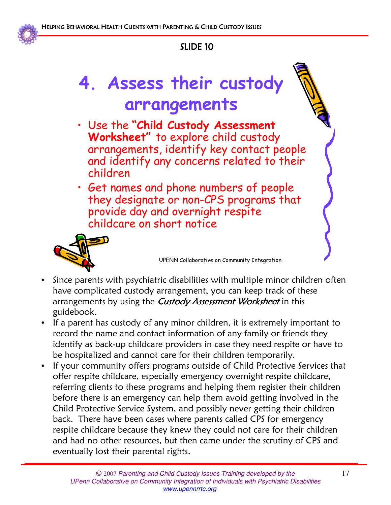

# 4. Assess their custody arrangements

- Use the "Child Custody Assessment Worksheet" to explore child custody arrangements, identify key contact people and identify any concerns related to their children
- Get names and phone numbers of people they designate or non-CPS programs that provide day and overnight respite childcare on short notice



- Since parents with psychiatric disabilities with multiple minor children often have complicated custody arrangement, you can keep track of these arrangements by using the *Custody Assessment Worksheet* in this guidebook.
- If a parent has custody of any minor children, it is extremely important to record the name and contact information of any family or friends they identify as back-up childcare providers in case they need respite or have to be hospitalized and cannot care for their children temporarily.
- If your community offers programs outside of Child Protective Services that offer respite childcare, especially emergency overnight respite childcare, referring clients to these programs and helping them register their children before there is an emergency can help them avoid getting involved in the Child Protective Service System, and possibly never getting their children back. There have been cases where parents called CPS for emergency respite childcare because they knew they could not care for their children and had no other resources, but then came under the scrutiny of CPS and eventually lost their parental rights.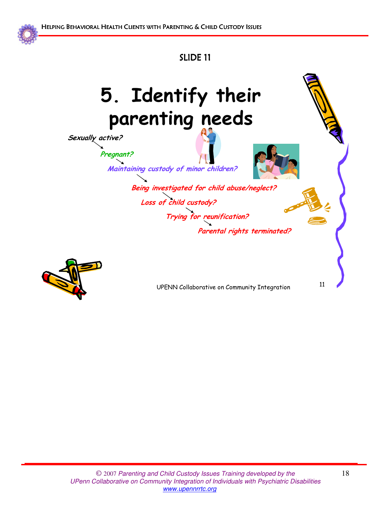



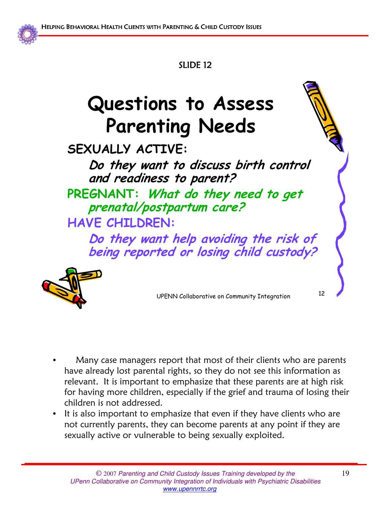

# Questions to Assess Parenting Needs

## SEXUALLY ACTIVE:

Do they want to discuss birth control and readiness to parent?

PREGNANT: What do they need to get prenatal/postpartum care? HAVE CHILDREN:

Do they want help avoiding the risk of being reported or losing child custody?



- Many case managers report that most of their clients who are parents have already lost parental rights, so they do not see this information as relevant. It is important to emphasize that these parents are at high risk for having more children, especially if the grief and trauma of losing their children is not addressed.
- It is also important to emphasize that even if they have clients who are not currently parents, they can become parents at any point if they are sexually active or vulnerable to being sexually exploited.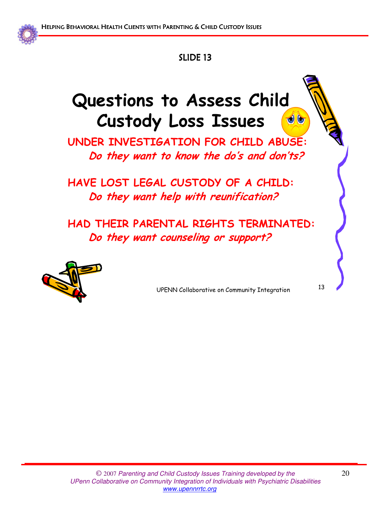

## Questions to Assess Child Custody Loss Issues  $\bigcirc$

UNDER INVESTIGATION FOR CHILD ABUSE: Do they want to know the do's and don'ts?

HAVE LOST LEGAL CUSTODY OF A CHILD: Do they want help with reunification?

HAD THEIR PARENTAL RIGHTS TERMINATED: Do they want counseling or support?



UPENN Collaborative on Community Integration <sup>13</sup>

© 2007 Parenting and Child Custody Issues Training developed by the UPenn Collaborative on Community Integration of Individuals with Psychiatric Disabilities www.upennrrtc.org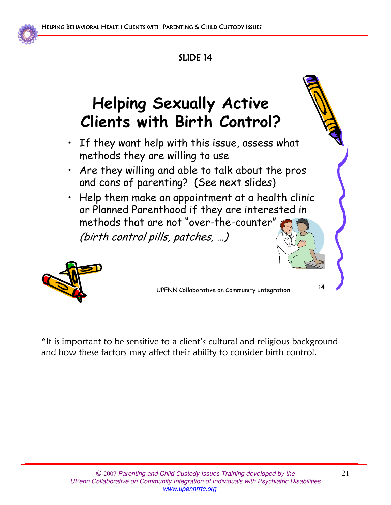

# Helping Sexually Active Clients with Birth Control?

- If they want help with this issue, assess what methods they are willing to use
- Are they willing and able to talk about the pros and cons of parenting? (See next slides)
- Help them make an appointment at a health clinic or Planned Parenthood if they are interested in methods that are not "over-the-counter" (birth control pills, patches, …)



UPENN Collaborative on Community Integration <sup>14</sup>

\*It is important to be sensitive to a client's cultural and religious background and how these factors may affect their ability to consider birth control.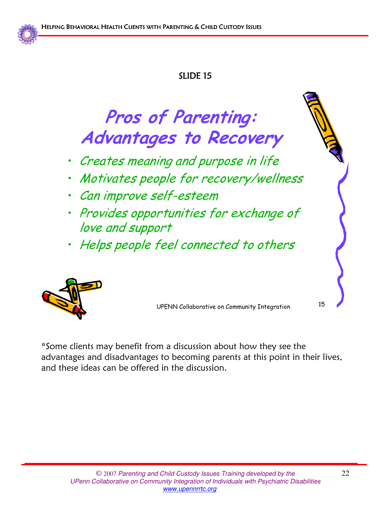

# Pros of Parenting: Advantages to Recovery

- Creates meaning and purpose in life
- Motivates people for recovery/wellness
- Can improve self-esteem
- Provides opportunities for exchange of love and support
- Helps people feel connected to others



UPENN Collaborative on Community Integration <sup>15</sup>

\*Some clients may benefit from a discussion about how they see the advantages and disadvantages to becoming parents at this point in their lives, and these ideas can be offered in the discussion.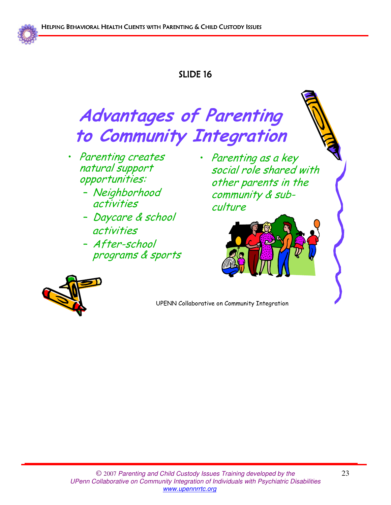

# Advantages of Parenting to Community Integration

- Parenting creates natural support opportunities:
	- Neighborhood activities
	- Daycare & school activities
	- After-school programs & sports
- Parenting as a key social role shared with other parents in the community & subculture



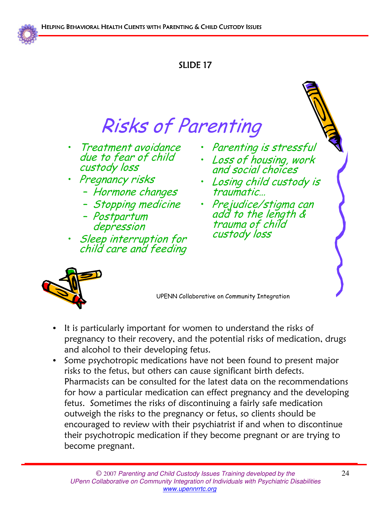

# Risks of Parenting

- Treatment avoidance due to fear of child custody loss
- Pregnancy risks
	- Hormone changes
	- Stopping medicine
	- Postpartum depression
- Sleep interruption for child care and feeding
- Parenting is stressful
- Loss of housing, work and social choices
- Losing child custody is traumatic…
- Prejudice/stigma can add to the length & trauma of child custody loss



- It is particularly important for women to understand the risks of pregnancy to their recovery, and the potential risks of medication, drugs and alcohol to their developing fetus.
- Some psychotropic medications have not been found to present major risks to the fetus, but others can cause significant birth defects. Pharmacists can be consulted for the latest data on the recommendations for how a particular medication can effect pregnancy and the developing fetus. Sometimes the risks of discontinuing a fairly safe medication outweigh the risks to the pregnancy or fetus, so clients should be encouraged to review with their psychiatrist if and when to discontinue their psychotropic medication if they become pregnant or are trying to become pregnant.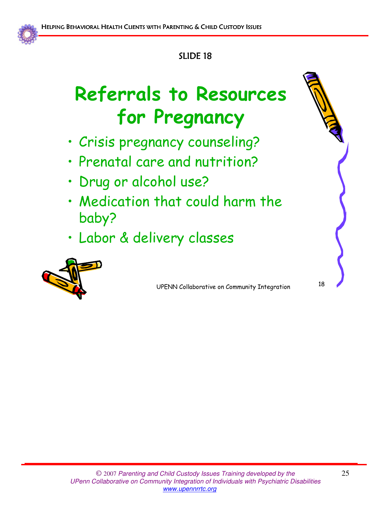

# Referrals to Resources for Pregnancy

- Crisis pregnancy counseling?
- Prenatal care and nutrition?
- Drug or alcohol use?
- Medication that could harm the baby?
- Labor & delivery classes

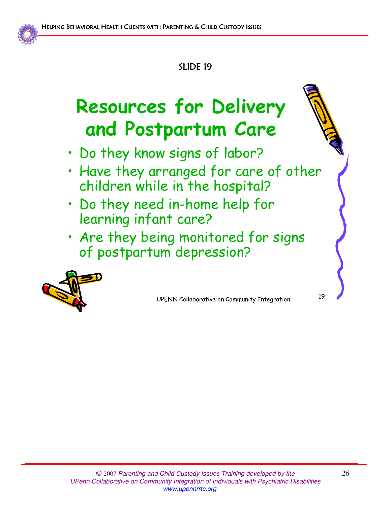

# Resources for Delivery and Postpartum Care

- Do they know signs of labor?
- Have they arranged for care of other children while in the hospital?
- Do they need in-home help for learning infant care?
- Are they being monitored for signs of postpartum depression?

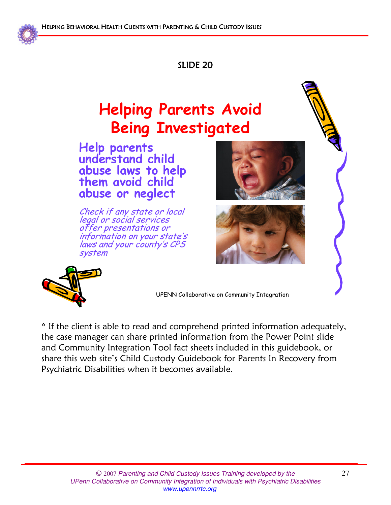

## Helping Parents Avoid Being Investigated

Help parents understand child abuse laws to help them avoid child abuse or neglect

Check if any state or local legal or social services offer presentations or information on your state's laws and your county's CPS system







UPENN Collaborative on Community Integration

\* If the client is able to read and comprehend printed information adequately, the case manager can share printed information from the Power Point slide and Community Integration Tool fact sheets included in this guidebook, or share this web site's Child Custody Guidebook for Parents In Recovery from Psychiatric Disabilities when it becomes available.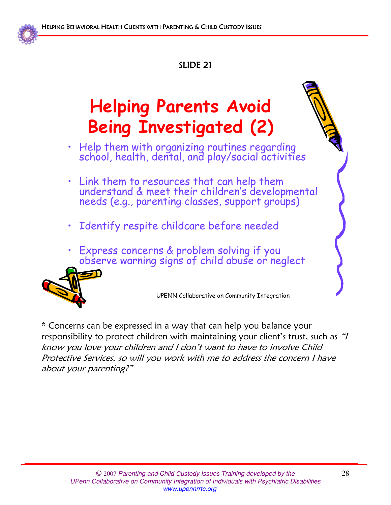

# Helping Parents Avoid Being Investigated (2)

- Help them with organizing routines regarding school, health, dental, and play/social activities
- Link them to resources that can help them understand & meet their children's developmental needs (e.g., parenting classes, support groups)
- Identify respite childcare before needed
- Express concerns & problem solving if you observe warning signs of child abuse or neglect



UPENN Collaborative on Community Integration

\* Concerns can be expressed in a way that can help you balance your responsibility to protect children with maintaining your client's trust, such as "I know you love your children and I don't want to have to involve Child Protective Services, so will you work with me to address the concern I have about your parenting?"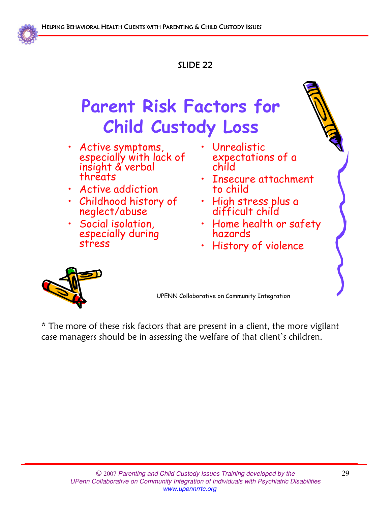

# Parent Risk Factors for Child Custody Loss

- Active symptoms, especially with lack of insight & verbal threats
- Active addiction
- Childhood history of neglect/abuse
- Social isolation, especially during stress
- Unrealistic expectations of a child
- Insecure attachment to child
- High stress plus a difficult child
- Home health or safety hazards
- History of violence



UPENN Collaborative on Community Integration

\* The more of these risk factors that are present in a client, the more vigilant case managers should be in assessing the welfare of that client's children.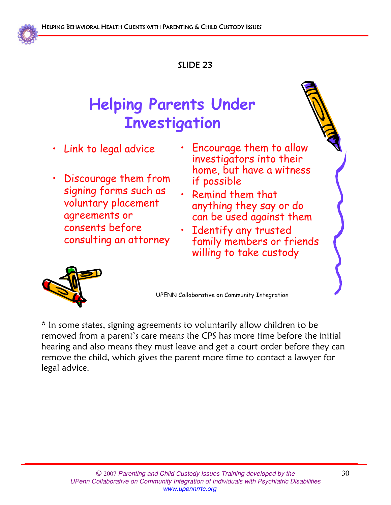

## Helping Parents Under **Investigation**

- Link to legal advice
- Discourage them from signing forms such as voluntary placement agreements or consents before consulting an attorney
- Encourage them to allow investigators into their home, but have a witness if possible
- Remind them that anything they say or do can be used against them
- Identify any trusted family members or friends willing to take custody



UPENN Collaborative on Community Integration

\* In some states, signing agreements to voluntarily allow children to be removed from a parent's care means the CPS has more time before the initial hearing and also means they must leave and get a court order before they can remove the child, which gives the parent more time to contact a lawyer for legal advice.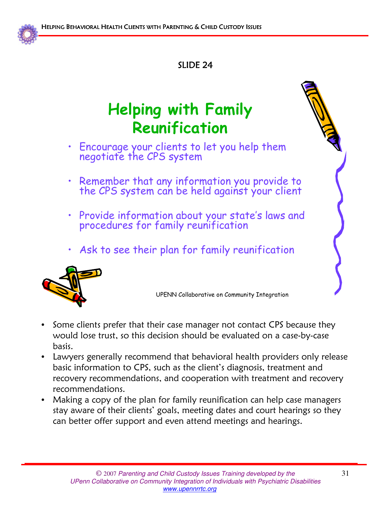

## Helping with Family Reunification

- Encourage your clients to let you help them negotiate the CPS system
- Remember that any information you provide to the CPS system can be held against your client
- Provide information about your state's laws and procedures for family reunification
- Ask to see their plan for family reunification



- Some clients prefer that their case manager not contact CPS because they would lose trust, so this decision should be evaluated on a case-by-case basis.
- Lawyers generally recommend that behavioral health providers only release basic information to CPS, such as the client's diagnosis, treatment and recovery recommendations, and cooperation with treatment and recovery recommendations.
- Making a copy of the plan for family reunification can help case managers stay aware of their clients' goals, meeting dates and court hearings so they can better offer support and even attend meetings and hearings.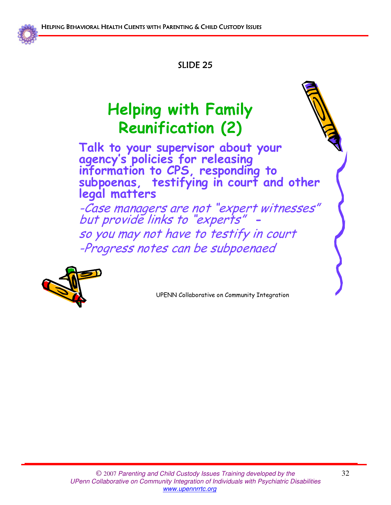

## Helping with Family Reunification (2)

Talk to your supervisor about your agency's policies for releasing information to CPS, responding to subpoenas, testifying in court and other legal matters

-Case managers are not "expert witnesses" but provide links to "experts" so you may not have to testify in court -Progress notes can be subpoenaed

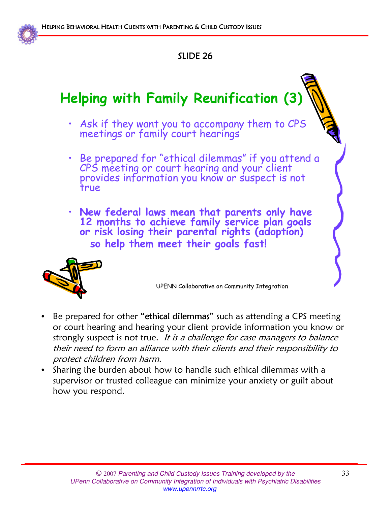

## Helping with Family Reunification (3)

- Ask if they want you to accompany them to CPS meetings or family court hearings
- Be prepared for "ethical dilemmas" if you attend a CPS meeting or court hearing and your client provides information you know or suspect is not true
- New federal laws mean that parents only have 12 months to achieve family service plan goals or risk losing their parental rights (adoption) so help them meet their goals fast!



- Be prepared for other "ethical dilemmas" such as attending a CPS meeting or court hearing and hearing your client provide information you know or strongly suspect is not true. It is a challenge for case managers to balance their need to form an alliance with their clients and their responsibility to protect children from harm.
- Sharing the burden about how to handle such ethical dilemmas with a supervisor or trusted colleague can minimize your anxiety or guilt about how you respond.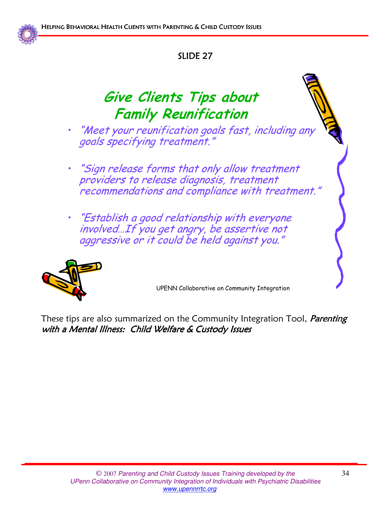

## Give Clients Tips about Family Reunification

- "Meet your reunification goals fast, including any goals specifying treatment."
- "Sign release forms that only allow treatment providers to release diagnosis, treatment recommendations and compliance with treatment."
- "Establish a good relationship with everyone involved…If you get angry, be assertive not aggressive or it could be held against you."



UPENN Collaborative on Community Integration

These tips are also summarized on the Community Integration Tool, *Parenting* with a Mental Illness: Child Welfare & Custody Issues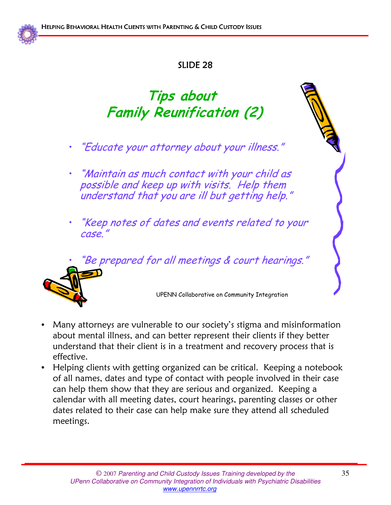

## Tips about Family Reunification (2)

- "Educate your attorney about your illness."
- "Maintain as much contact with your child as possible and keep up with visits. Help them understand that you are ill but getting help."  $\,$
- "Keep notes of dates and events related to your case."

"Be prepared for all meetings & court hearings."



- Many attorneys are vulnerable to our society's stigma and misinformation about mental illness, and can better represent their clients if they better understand that their client is in a treatment and recovery process that is effective.
- Helping clients with getting organized can be critical. Keeping a notebook of all names, dates and type of contact with people involved in their case can help them show that they are serious and organized. Keeping a calendar with all meeting dates, court hearings, parenting classes or other dates related to their case can help make sure they attend all scheduled meetings.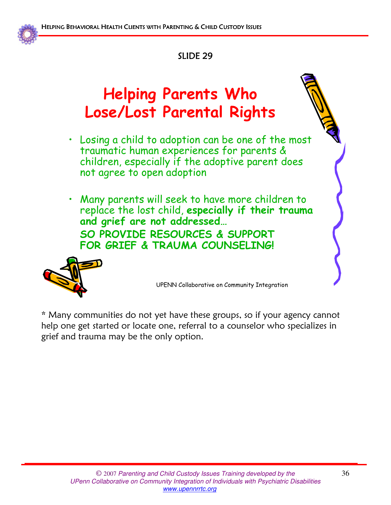

## Helping Parents Who Lose/Lost Parental Rights

- Losing a child to adoption can be one of the most traumatic human experiences for parents & children, especially if the adoptive parent does not agree to open adoption
- Many parents will seek to have more children to replace the lost child, especially if their trauma and grief are not addressed… SO PROVIDE RESOURCES & SUPPORT FOR GRIEF & TRAUMA COUNSELING!



UPENN Collaborative on Community Integration

\* Many communities do not yet have these groups, so if your agency cannot help one get started or locate one, referral to a counselor who specializes in grief and trauma may be the only option.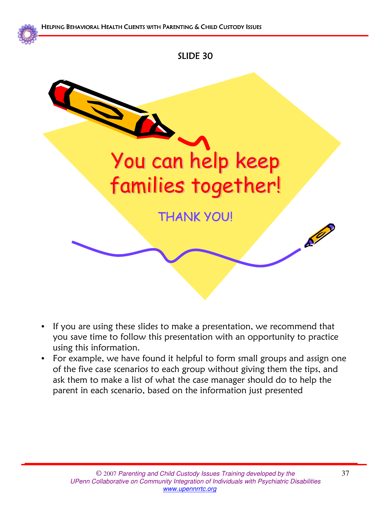

- If you are using these slides to make a presentation, we recommend that you save time to follow this presentation with an opportunity to practice using this information.
- For example, we have found it helpful to form small groups and assign one of the five case scenarios to each group without giving them the tips, and ask them to make a list of what the case manager should do to help the parent in each scenario, based on the information just presented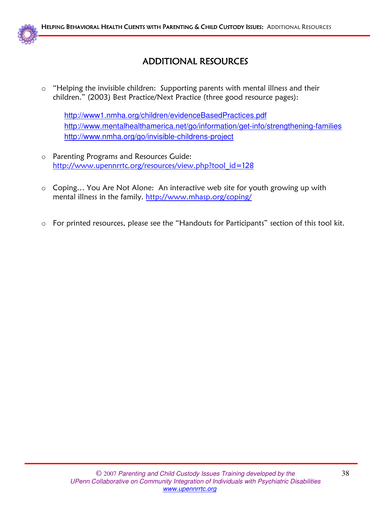

### **ADDITIONAL RESOURCES**

o "Helping the invisible children: Supporting parents with mental illness and their children." (2003) Best Practice/Next Practice (three good resource pages):

http://www1.nmha.org/children/evidenceBasedPractices.pdf http://www.mentalhealthamerica.net/go/information/get-info/strengthening-families http://www.nmha.org/go/invisible-childrens-project

- o Parenting Programs and Resources Guide: http://www.upennrrtc.org/resources/view.php?tool\_id=128
- o Coping… You Are Not Alone: An interactive web site for youth growing up with mental illness in the family. http://www.mhasp.org/coping/
- o For printed resources, please see the "Handouts for Participants" section of this tool kit.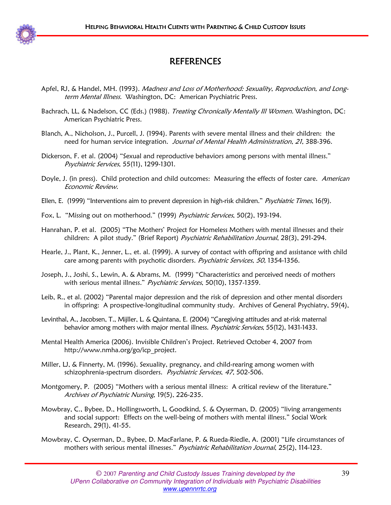

### REFERENCES

- Apfel, RJ, & Handel, MH. (1993). Madness and Loss of Motherhood: Sexuality, Reproduction, and Longterm Mental Illness. Washington, DC: American Psychiatric Press.
- Bachrach, LL, & Nadelson, CC (Eds.) (1988). Treating Chronically Mentally III Women. Washington, DC: American Psychiatric Press.
- Blanch, A., Nicholson, J., Purcell, J. (1994). Parents with severe mental illness and their children: the need for human service integration. Journal of Mental Health Administration, 21, 388-396.
- Dickerson, F. et al. (2004) "Sexual and reproductive behaviors among persons with mental illness." Psychiatric Services, 55(11), 1299-1301.
- Doyle, J. (in press). Child protection and child outcomes: Measuring the effects of foster care. American Economic Review.
- Ellen, E. (1999) "Interventions aim to prevent depression in high-risk children." *Psychiatric Times*, 16(9).
- Fox, L. "Missing out on motherhood." (1999) Psychiatric Services, 50(2), 193-194.
- Hanrahan, P. et al. (2005) "The Mothers' Project for Homeless Mothers with mental illnesses and their children: A pilot study." (Brief Report) Psychiatric Rehabilitation Journal, 28(3), 291-294.
- Hearle, J., Plant, K., Jenner, L., et. al. (1999). A survey of contact with offspring and assistance with child care among parents with psychotic disorders. *Psychiatric Services*, 50, 1354-1356.
- Joseph, J., Joshi, S., Lewin, A. & Abrams, M. (1999) "Characteristics and perceived needs of mothers with serious mental illness." Psychiatric Services, 50(10), 1357-1359.
- Leib, R., et al. (2002) "Parental major depression and the risk of depression and other mental disorders in offspring: A prospective-longitudinal community study. Archives of General Psychiatry, 59(4),
- Levinthal, A., Jacobsen, T., Mijller, L. & Quintana, E. (2004) "Caregiving attitudes and at-risk maternal behavior among mothers with major mental illness. Psychiatric Services, 55(12), 1431-1433.
- Mental Health America (2006). Invisible Children's Project. Retrieved October 4, 2007 from http://www.nmha.org/go/icp\_project.
- Miller, LJ, & Finnerty, M. (1996). Sexuality, pregnancy, and child-rearing among women with schizophrenia-spectrum disorders. Psychiatric Services, 47, 502-506.
- Montgomery, P. (2005) "Mothers with a serious mental illness: A critical review of the literature." Archives of Psychiatric Nursing, 19(5), 226-235.
- Mowbray, C., Bybee, D., Hollingsworth, L, Goodkind, S. & Oyserman, D. (2005) "living arrangements and social support: Effects on the well-being of mothers with mental illness." Social Work Research, 29(1), 41-55.
- Mowbray, C. Oyserman, D., Bybee, D. MacFarlane, P. & Rueda-Riedle, A. (2001) "Life circumstances of mothers with serious mental illnesses." Psychiatric Rehabilitation Journal, 25(2), 114-123.